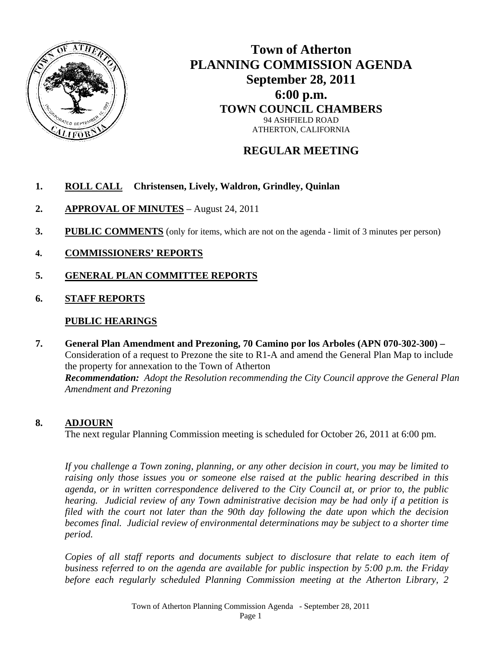

# **Town of Atherton PLANNING COMMISSION AGENDA September 28, 2011 6:00 p.m. TOWN COUNCIL CHAMBERS**  94 ASHFIELD ROAD ATHERTON, CALIFORNIA

## **REGULAR MEETING**

### **1. ROLL CALL Christensen, Lively, Waldron, Grindley, Quinlan**

- **2. APPROVAL OF MINUTES** August 24, 2011
- **3. PUBLIC COMMENTS** (only for items, which are not on the agenda limit of 3 minutes per person)
- **4. COMMISSIONERS' REPORTS**
- **5. GENERAL PLAN COMMITTEE REPORTS**
- **6. STAFF REPORTS**

### **PUBLIC HEARINGS**

**7. General Plan Amendment and Prezoning, 70 Camino por los Arboles (APN 070-302-300) –**  Consideration of a request to Prezone the site to R1-A and amend the General Plan Map to include the property for annexation to the Town of Atherton  *Recommendation: Adopt the Resolution recommending the City Council approve the General Plan Amendment and Prezoning* 

#### **8. ADJOURN**

The next regular Planning Commission meeting is scheduled for October 26, 2011 at 6:00 pm.

*If you challenge a Town zoning, planning, or any other decision in court, you may be limited to raising only those issues you or someone else raised at the public hearing described in this agenda, or in written correspondence delivered to the City Council at, or prior to, the public hearing. Judicial review of any Town administrative decision may be had only if a petition is filed with the court not later than the 90th day following the date upon which the decision becomes final. Judicial review of environmental determinations may be subject to a shorter time period.* 

*Copies of all staff reports and documents subject to disclosure that relate to each item of business referred to on the agenda are available for public inspection by 5:00 p.m. the Friday before each regularly scheduled Planning Commission meeting at the Atherton Library, 2*